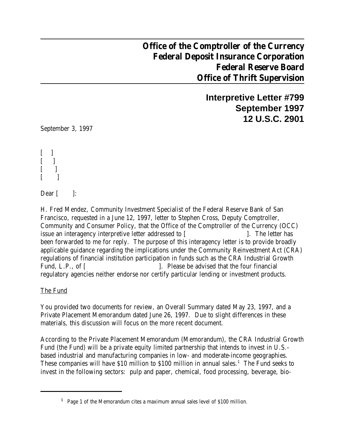## **Office of the Comptroller of the Currency Federal Deposit Insurance Corporation Federal Reserve Board Office of Thrift Supervision**

**Interpretive Letter #799 September 1997 12 U.S.C. 2901**

September 3, 1997

 $\mathbf{I}$  $\overline{\phantom{a}}$  $\lceil$   $\lceil$  $[$  ]

Dear  $\lbrack$   $\lbrack$ :

H. Fred Mendez, Community Investment Specialist of the Federal Reserve Bank of San Francisco, requested in a June 12, 1997, letter to Stephen Cross, Deputy Comptroller, Community and Consumer Policy, that the Office of the Comptroller of the Currency (OCC) issue an interagency interpretive letter addressed to [ ]. The letter has been forwarded to me for reply. The purpose of this interagency letter is to provide broadly applicable guidance regarding the implications under the Community Reinvestment Act (CRA) regulations of financial institution participation in funds such as the CRA Industrial Growth Fund, L.P., of [ ]. Please be advised that the four financial regulatory agencies neither endorse nor certify particular lending or investment products.

The Fund

You provided two documents for review, an Overall Summary dated May 23, 1997, and a Private Placement Memorandum dated June 26, 1997. Due to slight differences in these materials, this discussion will focus on the more recent document.

According to the Private Placement Memorandum (Memorandum), the CRA Industrial Growth Fund (the Fund) will be a private equity limited partnership that intends to invest in U.S. based industrial and manufacturing companies in low- and moderate-income geographies. These companies will have \$10 million to \$100 million in annual sales.<sup>1</sup> The Fund seeks to invest in the following sectors: pulp and paper, chemical, food processing, beverage, bio-

<sup>&</sup>lt;sup>1</sup> Page 1 of the Memorandum cites a maximum annual sales level of \$100 million.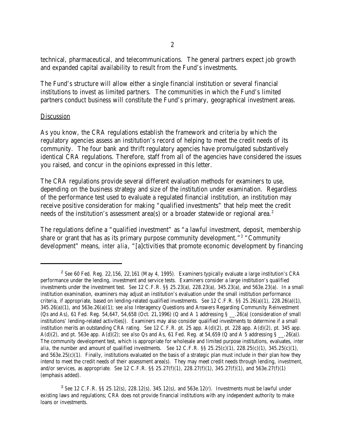technical, pharmaceutical, and telecommunications. The general partners expect job growth and expanded capital availability to result from the Fund's investments.

The Fund's structure will allow either a single financial institution or several financial institutions to invest as limited partners. The communities in which the Fund's limited partners conduct business will constitute the Fund's primary, geographical investment areas.

## Discussion

As you know, the CRA regulations establish the framework and criteria by which the regulatory agencies assess an institution's record of helping to meet the credit needs of its community. The four bank and thrift regulatory agencies have promulgated substantively identical CRA regulations. Therefore, staff from all of the agencies have considered the issues you raised, and concur in the opinions expressed in this letter.

The CRA regulations provide several different evaluation methods for examiners to use, depending on the business strategy and size of the institution under examination. Regardless of the performance test used to evaluate a regulated financial institution, an institution may receive positive consideration for making "qualified investments" that help meet the credit needs of the institution's assessment area(s) or a broader statewide or regional area.<sup>2</sup>

The regulations define a "qualified investment" as "a lawful investment, deposit, membership share or grant that has as its primary purpose community development." $3$  "Community" development" means, *inter alia*, "[a]ctivities that promote economic development by financing

 $<sup>2</sup>$  See 60 Fed. Reg. 22,156, 22,161 (May 4, 1995). Examiners typically evaluate a large institution's CRA</sup> performance under the lending, investment and service tests. Examiners consider a large institution's qualified investments under the investment test. *See* 12 C.F.R. §§ 25.23(a), 228.23(a), 345.23(a), and 563e.23(a). In a small institution examination, examiners may adjust an institution's evaluation under the small institution performance criteria, if appropriate, based on lending-related qualified investments. *See* 12 C.F.R. §§ 25.26(a)(1), 228.26(a)(1), 345.26(a)(1), and 563e.26(a)(1); *see also* Interagency Questions and Answers Regarding Community Reinvestment (Qs and As), 61 Fed. Reg. 54,647, 54,658 (Oct. 21,1996) (Q and A 1 addressing  $\S$   $\dot{B}$  .26(a) (consideration of small institutions' lending-related activities)). Examiners may also consider qualified investments to determine if a small institution merits an outstanding CRA rating. *See* 12 C.F.R. pt. 25 app. A(d)(2), pt. 228 app. A(d)(2), pt. 345 app. A(d)(2), and pt. 563e app. A(d)(2); *see also* Qs and As, 61 Fed. Reg. at 54,659 (Q and A 5 addressing § \_\_.26(a)). The community development test, which is appropriate for wholesale and limited purpose institutions, evaluates, *inter alia*, the number and amount of qualified investments. *See* 12 C.F.R. §§ 25.25(c)(1), 228.25(c)(1), 345.25(c)(1), and  $563e.25(c)(1)$ . Finally, institutions evaluated on the basis of a strategic plan must include in their plan how they intend to meet the credit needs of their assessment area(s). They may meet credit needs through lending, *investment*, and/or services, as appropriate. *See* 12 C.F.R. §§ 25.27(f)(1), 228.27(f)(1), 345.27(f)(1), and 563e.27(f)(1) (emphasis added).

<sup>&</sup>lt;sup>3</sup> See 12 C.F.R. §§ 25.12(s), 228.12(s), 345.12(s), and 563e.12(r). Investments must be lawful under existing laws and regulations; CRA does not provide financial institutions with any independent authority to make loans or investments.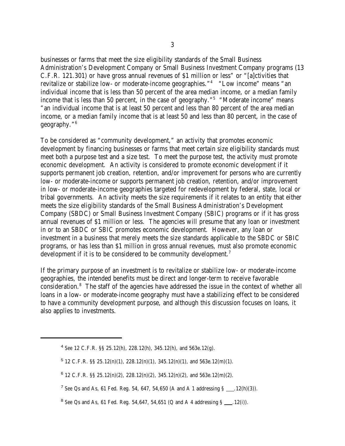businesses or farms that meet the size eligibility standards of the Small Business Administration's Development Company or Small Business Investment Company programs (13 C.F.R. 121.301) or have gross annual revenues of \$1 million or less" or "[a]ctivities that revitalize or stabilize low- or moderate-income geographies."<sup>4</sup> "Low income" means "an individual income that is less than 50 percent of the area median income, or a median family income that is less than 50 percent, in the case of geography."<sup>5</sup> "Moderate income" means "an individual income that is at least 50 percent and less than 80 percent of the area median income, or a median family income that is at least 50 and less than 80 percent, in the case of geography."<sup>6</sup>

To be considered as "community development," an activity that promotes economic development by financing businesses or farms that meet certain size eligibility standards must meet both a purpose test and a size test. To meet the purpose test, the activity must promote economic development. An activity is considered to promote economic development if it supports permanent job creation, retention, and/or improvement for persons who are currently low- or moderate-income or supports permanent job creation, retention, and/or improvement in low- or moderate-income geographies targeted for redevelopment by federal, state, local or tribal governments. An activity meets the size requirements if it relates to an entity that either meets the size eligibility standards of the Small Business Administration's Development Company (SBDC) or Small Business Investment Company (SBIC) programs or if it has gross annual revenues of \$1 million or less. The agencies will presume that any loan or investment in or to an SBDC or SBIC promotes economic development. However, any loan or investment in a business that merely meets the size standards applicable to the SBDC or SBIC programs, or has less than \$1 million in gross annual revenues, must also promote economic development if it is to be considered to be community development.<sup>7</sup>

If the primary purpose of an investment is to revitalize or stabilize low- or moderate-income geographies, the intended benefits must be direct and longer-term to receive favorable consideration.<sup>8</sup> The staff of the agencies have addressed the issue in the context of whether all loans in a low- or moderate-income geography must have a stabilizing effect to be considered to have a community development purpose, and although this discussion focuses on loans, it also applies to investments.

<sup>&</sup>lt;sup>4</sup> See 12 C.F.R. §§ 25.12(h), 228.12(h), 345.12(h), and 563e.12(g).

 $5$  12 C.F.R. §§ 25.12(n)(1), 228.12(n)(1), 345.12(n)(1), and 563e.12(m)(1).

 $6$  12 C.F.R. §§ 25.12(n)(2), 228.12(n)(2), 345.12(n)(2), and 563e.12(m)(2).

<sup>&</sup>lt;sup>7</sup> See Qs and As, 61 Fed. Reg. 54, 647, 54,650 (A and A 1 addressing  $\S$  \_\_\_, 12(h)(3)).

<sup>&</sup>lt;sup>8</sup> See Qs and As, 61 Fed. Reg. 54,647, 54,651 (Q and A 4 addressing  $\S$  \_\_\_, 12(i)).